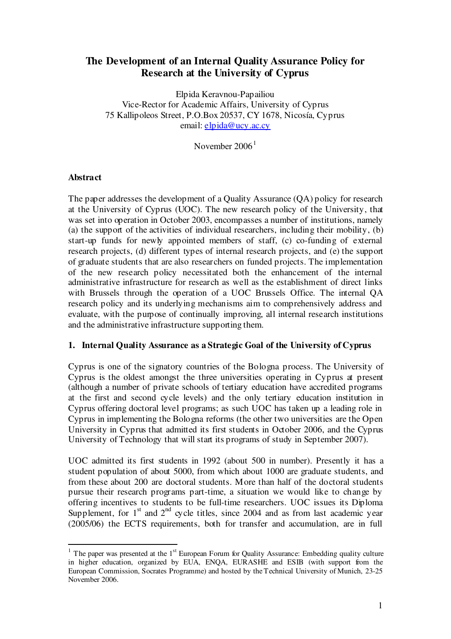# **The Development of an Internal Quality Assurance Policy for Research at the University of Cyprus**

Elpida Keravnou-Papailiou Vice-Rector for Academic Affairs, University of Cyprus 75 Kallipoleos Street, P.O.Box 20537, CY 1678, Nicosía, Cyprus email: elpida@ucy.ac.cy

November 2006<sup>1</sup>

### **Abstract**

The paper addresses the development of a Quality Assurance (QA) policy for research at the University of Cyprus (UOC). The new research policy of the University, that was set into operation in October 2003, encompasses a number of institutions, namely (a) the support of the activities of individual researchers, including their mobility,  $(b)$ start-up funds for newly appointed members of staff, (c) co-funding of external research projects, (d) different types of internal research projects, and (e) the support of graduate students that are also researchers on funded projects. The implementation of the new research policy necessitated both the enhancement of the internal administrative infrastructure for research as well as the establishment of direct links with Brussels through the operation of a UOC Brussels Office. The internal QA research policy and its underlying mechanisms aim to comprehensively address and evaluate, with the purpose of continually improving, all internal research institutions and the administrative infrastructure supporting them.

### **1. Internal Quality Assurance as a Strategic Goal of the University of Cyprus**

Cyprus is one of the signatory countries of the Bologna process. The University of Cyprus is the oldest amongst the three universities operating in Cyprus at present (although a number of private schools of tertiary education have accredited programs at the first and second cycle levels) and the only tertiary education institution in Cyprus offering doctoral level programs; as such UOC has taken up a leading role in Cyprus in implementing the Bologna reforms (the other two universities are the Open University in Cyprus that admitted its first students in October 2006, and the Cyprus University of Technology that will start its programs of study in September 2007).

UOC admitted its first students in 1992 (about 500 in number). Presently it has a student population of about 5000, from which about 1000 are graduate students, and from these about 200 are doctoral students. More than half of the doctoral students pursue their research programs part-time, a situation we would like to change by offering incentives to students to be full-time researchers. UOC issues its Diploma Supplement, for  $1<sup>st</sup>$  and  $2<sup>nd</sup>$  cycle titles, since 2004 and as from last academic year (2005/06) the ECTS requirements, both for transfer and accumulation, are in full

<sup>&</sup>lt;sup>1</sup> The paper was presented at the  $1<sup>st</sup>$  European Forum for Quality Assurance: Embedding quality culture in higher was presented as the T-European T-stain is guaraly researance. Entertaining quarry carrier in higher education, organized by EUA, ENOA, EURASHE and ESIB (with support from the European Commission, Socrates Programme) and hosted by the Technical University of Munich, 23-25 November 2006.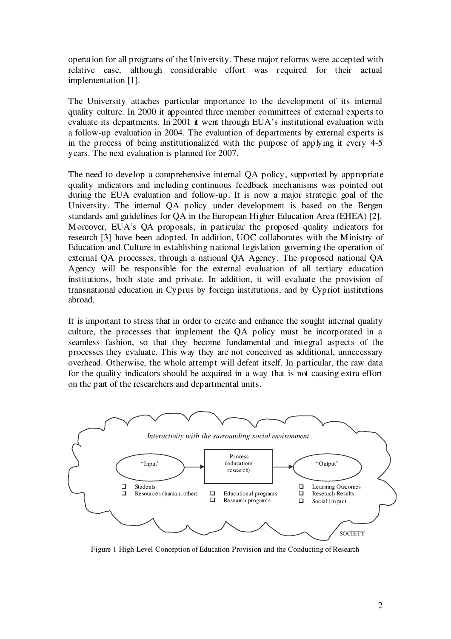operation for all programs of the University. These major reforms were accepted with relative ease, although considerable effort was required for their actual implementation [1].

The University attaches particular importance to the development of its internal quality culture. In 2000 it appointed three member committees of external experts to evaluate its departments. In 2001 it went through EUA's institutional evaluation with a follow-up evaluation in 2004. The evaluation of departments by external experts is in the process of being institutionalized with the purpose of applying it every 4-5 years. The next evaluation is planned for 2007.

The need to develop a comprehensive internal QA policy, supported by appropriate quality indicators and including continuous feedback mechanisms was pointed out during the EUA evaluation and follow-up. It is now a major strategic goal of the University. The internal QA policy under development is based on the Bergen standards and guidelines for QA in the European Higher Education Area (EHEA) [2]. Moreover, EUA's QA proposals, in particular the proposed quality indicators for research [3] have been adopted. In addition, UOC collaborates with the Ministry of Education and Culture in establishing national legislation governing the operation of external QA processes, through a national QA Agency. The proposed national QA Agency will be responsible for the external evaluation of all tertiary education institutions, both state and private. In addition, it will evaluate the provision of transnational education in Cyprus by foreign institutions, and by Cypriot institutions abroad.

It is important to stress that in order to create and enhance the sought internal quality culture, the processes that implement the QA policy must be incorporated in a seamless fashion, so that they become fundamental and integral aspects of the processes they evaluate. This way they are not conceived as additional, unnecessary overhead. Otherwise, the whole attempt will defeat itself. In particular, the raw data for the quality indicators should be acquired in a way that is not causing extra effort on the part of the researchers and departmental units.



Figure 1 High Level Conception of Education Provision and the Conducting of Research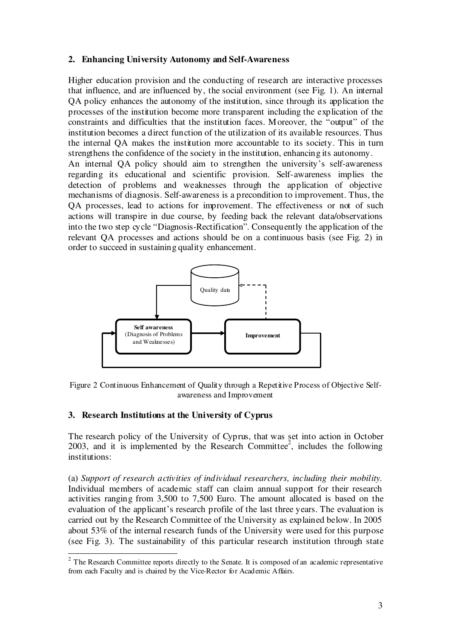### **2. Enhancing University Autonomy and Self-Awareness**

Higher education provision and the conducting of research are interactive processes that influence, and are influenced by, the social environment (see Fig. 1). An internal QA policy enhances the autonomy of the institution, since through its application the processes of the institution become more transparent including the explication of the constraints and difficulties that the institution faces. Moreover, the "output" of the institution becomes a direct function of the utilization of its available resources. Thus the internal QA makes the institution more accountable to its society. This in turn strengthens the confidence of the society in the institution, enhancing its autonomy.

An internal QA policy should aim to strengthen the university's self-awareness regarding its educational and scientific provision. Self-awareness implies the detection of problems and weaknesses through the application of objective mechanisms of diagnosis. Self-awareness is a precondition to improvement. Thus, the QA processes, lead to actions for improvement. The effectiveness or not of such actions will transpire in due course, by feeding back the relevant data/observations into the two step cycle "Diagnosis-Rectification". Consequently the application of the relevant QA processes and actions should be on a continuous basis (see Fig. 2) in order to succeed in sustaining quality enhancement.



Figure 2 Continuous Enhancement of Quality through a Repetitive Process of Objective Selfawareness and Improvement

# **3. Research Institutions at the University of Cyprus**

The research policy of the University of Cyprus, that was set into action in October 2003, and it is implemented by the Research Committee<sup>2</sup>, includes the following institutions:

(a) *Support of research activities of individual researchers, including their mobility*. Individual members of academic staff can claim annual support for their research activities ranging from 3,500 to 7,500 Euro. The amount allocated is based on the evaluation of the applicant's research profile of the last three years. The evaluation is carried out by the Research Committee of the University as explained below. In 2005 about 53% of the internal research funds of the University were used for this purpose (see Fig. 3). The sustainability of this particular research institution through state

 $2^{2}$  The Research Committee reports directly to the Senate. It is composed of an academic representative from each Faculty and is chaired by the Vice-Rector for Academic Affairs.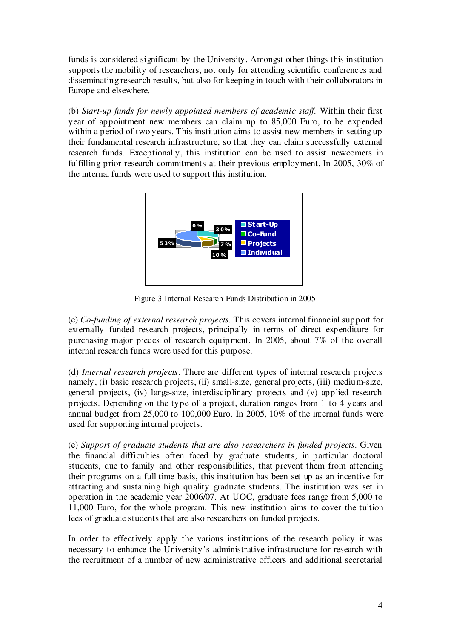funds is considered significant by the University. Amongst other things this institution supports the mobility of researchers, not only for attending scientific conferences and disseminating research results, but also for keeping in touch with their collaborators in Europe and elsewhere.

(b) *Start-up funds for newly appointed members of academic staf* . Within their first year of appointment new members can claim up to 85,000 Euro, to be expended within a period of two years. This institution aims to assist new members in setting up their fundamental research infrastructure, so that they can claim successfully external research funds. Exceptionally, this institution can be used to assist newcomers in fulfilling prior research commitments at their previous employment. In 2005, 30% of the internal funds were used to support this institution.



Figure 3 Internal Research Funds Distribution in 2005

(c) *Co-funding of external research projects.* This covers internal financial support for externally funded research projects, principally in terms of direct expenditure for purchasing major pieces of research equipment. In 2005, about 7% of the overall internal research funds were used for this purpose.

(d) *Internal research projects*. There are different types of internal research projects namely, (i) basic research projects, (ii) small-size, general projects, (iii) medium-size, general projects, (iv) large-size, interdisciplinary projects and (v) applied research projects. Depending on the type of a project, duration ranges from 1 to 4 years and annual budget from 25,000 to 100,000 Euro. In 2005, 10% of the internal funds were used for supporting internal projects.

(e) *Support of graduate students that are also researchers in funded projects*. Given the financial difficulties often faced by graduate students, in particular doctoral students, due to family and other responsibilities, that prevent them from attending their programs on a full time basis, this institution has been set up as an incentive for attracting and sustaining high quality graduate students. The institution was set in operation in the academic year 2006/07. At UOC, graduate fees range from 5,000 to 11,000 Euro, for the whole program. This new institution aims to cover the tuition fees of graduate students that are also researchers on funded projects.

In order to effectively apply the various institutions of the research policy it was necessary to enhance the University's administrative infrastructure for research with the recruitment of a number of new administrative officers and additional secretarial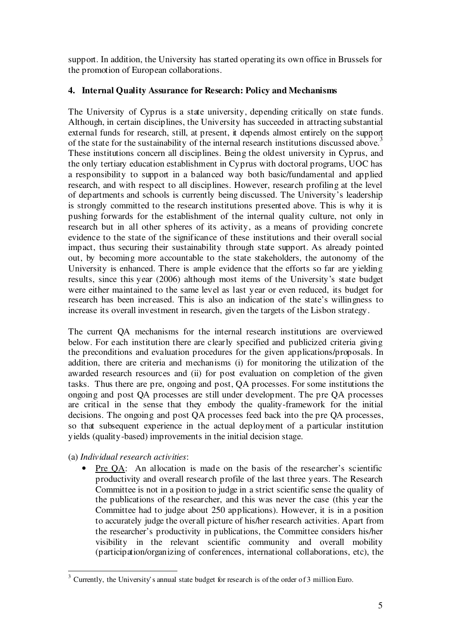support. In addition, the University has started operating its own office in Brussels for the promotion of European collaborations.

# **4. Internal Quality Assurance for Research: Policy and Mechanisms**

The University of Cyprus is a state university, depending critically on state funds. Although, in certain disciplines, the University has succeeded in attracting substantial external funds for research, still, at present, it depends almost entirely on the support of the state for the sustainability of the internal research institutions discussed above.<sup>3</sup> These institutions concern all disciplines. Being the oldest university in Cyprus, and the only tertiary education establishment in Cyprus with doctoral programs, UOC has a responsibility to support in a balanced way both basic/fundamental and applied research, and with respect to all disciplines. However, research profiling at the level of departments and schools is currently being discussed. The University's leadership is strongly committed to the research institutions presented above. This is why it is pushing forwards for the establishment of the internal quality culture, not only in research but in all other spheres of its activity, as a means of providing concrete evidence to the state of the significance of these institutions and their overall social impact, thus securing their sustainability through state support. As already pointed out, by becoming more accountable to the state stakeholders, the autonomy of the University is enhanced. There is ample evidence that the efforts so far are yielding results, since this year (2006) although most items of the University's state budget were either maintained to the same level as last year or even reduced, its budget for research has been increased. This is also an indication of the state's willingness to increase its overall investment in research, given the targets of the Lisbon strategy.

The current QA mechanisms for the internal research institutions are overviewed below. For each institution there are clearly specified and publicized criteria giving the preconditions and evaluation procedures for the given applications/proposals. In addition, there are criteria and mechanisms (i) for monitoring the utilization of the awarded research resources and (ii) for post evaluation on completion of the given tasks. Thus there are pre, ongoing and post, QA processes. For some institutions the ongoing and post QA processes are still under development. The pre QA processes are critical in the sense that they embody the quality-framework for the initial decisions. The ongoing and post QA processes feed back into the pre QA processes, so that subsequent experience in the actual deployment of a particular institution yields (quality-based) improvements in the initial decision stage.

- (a) *Individual research activities*:
	- Pre QA: An allocation is made on the basis of the researcher's scientific productivity and overall research profile of the last three years. The Research Committee is not in a position to judge in a strict scientific sense the quality of the publications of the researcher, and this was never the case (this year the Committee had to judge about 250 applications). However, it is in a position to accurately judge the overall picture of his/her research activities. Apart from the researcher's productivity in publications, the Committee considers his/her visibility in the relevant scientific community and overall mobility (participation/organizing of conferences, international collaborations, etc), the

<sup>&</sup>lt;sup>3</sup> Currently, the University's annual state budget for research is of the order of 3 million Euro.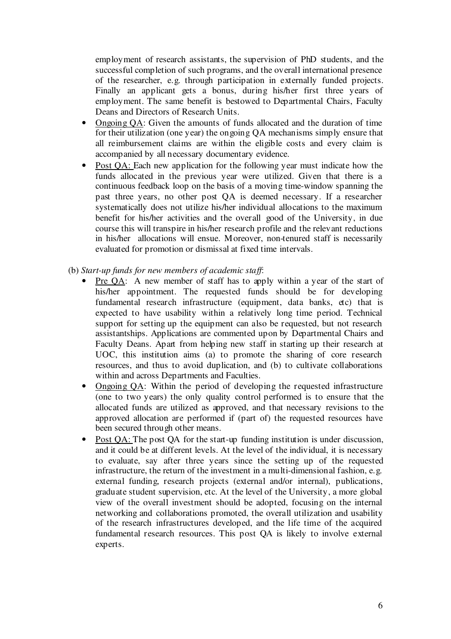employment of research assistants, the supervision of PhD students, and the successful completion of such programs, and the overall international presence of the researcher, e.g. through participation in externally funded projects. Finally an applicant gets a bonus, during his/her first three years of employment. The same benefit is bestowed to Departmental Chairs, Faculty Deans and Directors of Research Units.

- Ongoing OA: Given the amounts of funds allocated and the duration of time for their utilization (one year) the ongoing QA mechanisms simply ensure that all reimbursement claims are within the eligible costs and every claim is accompanied by all necessary documentary evidence.
- Post OA: Each new application for the following year must indicate how the funds allocated in the previous year were utilized. Given that there is a continuous feedback loop on the basis of a moving time-window spanning the past three years, no other post QA is deemed necessary. If a researcher systematically does not utilize his/her individual allocations to the maximum benefit for his/her activities and the overall good of the University, in due course this will transpire in his/her research profile and the relevant reductions in his/her allocations will ensue. Moreover, non-tenured staff is necessarily evaluated for promotion or dismissal at fixed time intervals.
- (b) *Start-up funds for new members of academic staf* :
	- Pre QA: A new member of staff has to apply within a year of the start of his/her appointment. The requested funds should be for developing fundamental research infrastructure (equipment, data banks, etc) that is expected to have usability within a relatively long time period. Technical support for setting up the equipment can also be requested, but not research assistantships. Applications are commented upon by Departmental Chairs and Faculty Deans. Apart from helping new staff in starting up their research at UOC, this institution aims (a) to promote the sharing of core research resources, and thus to avoid duplication, and (b) to cultivate collaborations within and across Departments and Faculties.
	- Ongoing OA: Within the period of developing the requested infrastructure (one to two years) the only quality control performed is to ensure that the allocated funds are utilized as approved, and that necessary revisions to the approved allocation are performed if (part of) the requested resources have been secured through other means.
	- Post QA: The post QA for the start-up funding institution is under discussion, and it could be at different levels. At the level of the individual, it is necessary to evaluate, say after three years since the setting up of the requested infrastructure, the return of the investment in a multi-dimensional fashion, e.g. external funding, research projects (external and/or internal), publications, graduate student supervision, etc. At the level of the University, a more global view of the overall investment should be adopted, focusing on the internal networking and collaborations promoted, the overall utilization and usability of the research infrastructures developed, and the life time of the acquired fundamental research resources. This post QA is likely to involve external experts.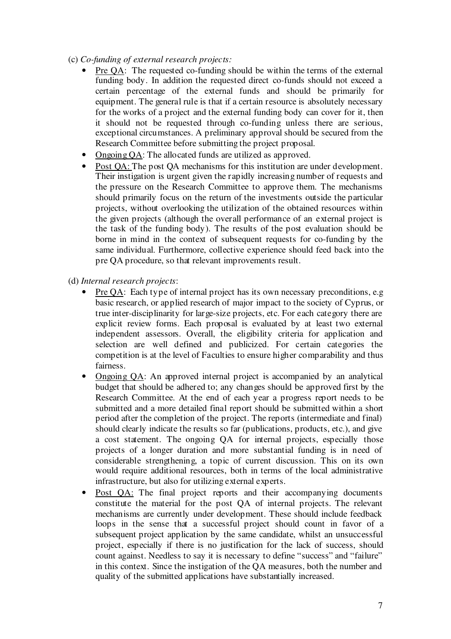- (c) *Co-funding of external research projects:*
	- Pre QA: The requested co-funding should be within the terms of the external funding body. In addition the requested direct co-funds should not exceed a certain percentage of the external funds and should be primarily for equipment. The general rule is that if a certain resource is absolutely necessary for the works of a project and the external funding body can cover for it, then it should not be requested through co-funding unless there are serious, exceptional circumstances. A preliminary approval should be secured from the Research Committee before submitting the project proposal.
	- Ongoing QA: The allocated funds are utilized as approved.
	- Post QA: The post QA mechanisms for this institution are under development. Their instigation is urgent given the rapidly increasing number of requests and the pressure on the Research Committee to approve them. The mechanisms should primarily focus on the return of the investments outside the particular projects, without overlooking the utilization of the obtained resources within the given projects (although the overall performance of an external project is the task of the funding body). The results of the post evaluation should be borne in mind in the context of subsequent requests for co-funding by the same individual. Furthermore, collective experience should feed back into the pre QA procedure, so that relevant improvements result.
- (d) *Internal research projects*:
	- Pre QA: Each type of internal project has its own necessary preconditions, e.g. basic research, or applied research of major impact to the society of Cyprus, or true inter-disciplinarity for large-size projects, etc. For each category there are explicit review forms. Each proposal is evaluated by at least two external independent assessors. Overall, the eligibility criteria for application and selection are well defined and publicized. For certain categories the competition is at the level of Faculties to ensure higher comparability and thus fairness.
	- Ongoing QA: An approved internal project is accompanied by an analytical budget that should be adhered to; any changes should be approved first by the Research Committee. At the end of each year a progress report needs to be submitted and a more detailed final report should be submitted within a short period after the completion of the project. The reports (intermediate and final) should clearly indicate the results so far (publications, products, etc.), and give a cost statement. The ongoing QA for internal projects, especially those projects of a longer duration and more substantial funding is in need of considerable strengthening, a topic of current discussion. This on its own would require additional resources, both in terms of the local administrative infrastructure, but also for utilizing external experts.
	- Post QA: The final project reports and their accompanying documents constitute the material for the post QA of internal projects. The relevant mechanisms are currently under development. These should include feedback loops in the sense that a successful project should count in favor of a subsequent project application by the same candidate, whilst an unsuccessful project, especially if there is no justification for the lack of success, should count against. Needless to say it is necessary to define "success" and "failure" in this context. Since the instigation of the QA measures, both the number and quality of the submitted applications have substantially increased.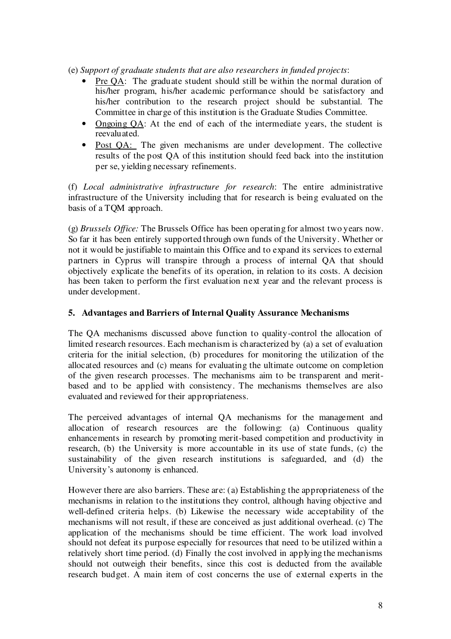(e) *Support of graduate students that are also researchers in funded projects*:

- Pre QA: The graduate student should still be within the normal duration of his/her program, his/her academic performance should be satisfactory and his/her contribution to the research project should be substantial. The Committee in charge of this institution is the Graduate Studies Committee.
- Ongoing QA: At the end of each of the intermediate years, the student is reevaluated.
- Post QA: The given mechanisms are under development. The collective results of the post QA of this institution should feed back into the institution per se, yielding necessary refinements.

(f) *Local administrative infrastructure for research*: The entire administrative infrastructure of the University including that for research is being evaluated on the basis of a TQM approach.

(g) *Brussels Of ice:* The Brussels Office has been operating for almost two years now. So far it has been entirely supported through own funds of the University. Whether or not it would be justifiable to maintain this Office and to expand its services to external partners in Cyprus will transpire through a process of internal QA that should objectively explicate the benefits of its operation, in relation to its costs. A decision has been taken to perform the first evaluation next year and the relevant process is under development.

# **5. Advantages and Barriers of Internal Quality Assurance Mechanisms**

The QA mechanisms discussed above function to quality-control the allocation of limited research resources. Each mechanism is characterized by (a) a set of evaluation criteria for the initial selection, (b) procedures for monitoring the utilization of the allocated resources and (c) means for evaluating the ultimate outcome on completion of the given research processes. The mechanisms aim to be transparent and meritbased and to be applied with consistency. The mechanisms themselves are also evaluated and reviewed for their appropriateness.

The perceived advantages of internal QA mechanisms for the management and allocation of research resources are the following: (a) Continuous quality enhancements in research by promoting merit-based competition and productivity in research, (b) the University is more accountable in its use of state funds, (c) the sustainability of the given research institutions is safeguarded, and (d) the University's autonomy is enhanced.

However there are also barriers. These are: (a) Establishing the appropriateness of the mechanisms in relation to the institutions they control, although having objective and well-defined criteria helps. (b) Likewise the necessary wide acceptability of the mechanisms will not result, if these are conceived as just additional overhead. (c) The application of the mechanisms should be time efficient. The work load involved should not defeat its purpose especially for resources that need to be utilized within a relatively short time period. (d) Finally the cost involved in applying the mechanisms should not outweigh their benefits, since this cost is deducted from the available research budget. A main item of cost concerns the use of external experts in the